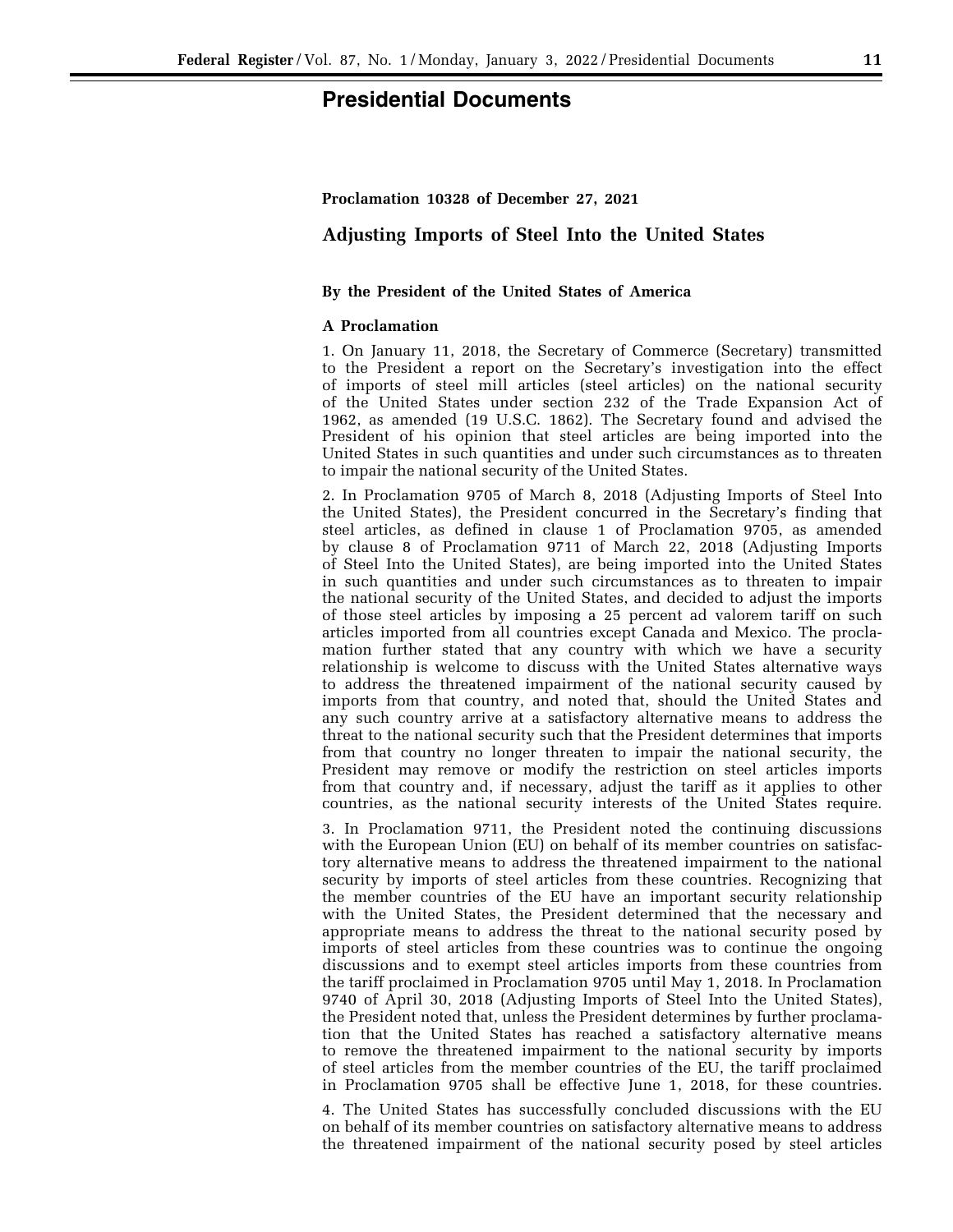# **Presidential Documents**

#### **Proclamation 10328 of December 27, 2021**

## **Adjusting Imports of Steel Into the United States**

#### **By the President of the United States of America**

#### **A Proclamation**

1. On January 11, 2018, the Secretary of Commerce (Secretary) transmitted to the President a report on the Secretary's investigation into the effect of imports of steel mill articles (steel articles) on the national security of the United States under section 232 of the Trade Expansion Act of 1962, as amended (19 U.S.C. 1862). The Secretary found and advised the President of his opinion that steel articles are being imported into the United States in such quantities and under such circumstances as to threaten to impair the national security of the United States.

2. In Proclamation 9705 of March 8, 2018 (Adjusting Imports of Steel Into the United States), the President concurred in the Secretary's finding that steel articles, as defined in clause 1 of Proclamation 9705, as amended by clause 8 of Proclamation 9711 of March 22, 2018 (Adjusting Imports of Steel Into the United States), are being imported into the United States in such quantities and under such circumstances as to threaten to impair the national security of the United States, and decided to adjust the imports of those steel articles by imposing a 25 percent ad valorem tariff on such articles imported from all countries except Canada and Mexico. The proclamation further stated that any country with which we have a security relationship is welcome to discuss with the United States alternative ways to address the threatened impairment of the national security caused by imports from that country, and noted that, should the United States and any such country arrive at a satisfactory alternative means to address the threat to the national security such that the President determines that imports from that country no longer threaten to impair the national security, the President may remove or modify the restriction on steel articles imports from that country and, if necessary, adjust the tariff as it applies to other countries, as the national security interests of the United States require.

3. In Proclamation 9711, the President noted the continuing discussions with the European Union (EU) on behalf of its member countries on satisfactory alternative means to address the threatened impairment to the national security by imports of steel articles from these countries. Recognizing that the member countries of the EU have an important security relationship with the United States, the President determined that the necessary and appropriate means to address the threat to the national security posed by imports of steel articles from these countries was to continue the ongoing discussions and to exempt steel articles imports from these countries from the tariff proclaimed in Proclamation 9705 until May 1, 2018. In Proclamation 9740 of April 30, 2018 (Adjusting Imports of Steel Into the United States), the President noted that, unless the President determines by further proclamation that the United States has reached a satisfactory alternative means to remove the threatened impairment to the national security by imports of steel articles from the member countries of the EU, the tariff proclaimed in Proclamation 9705 shall be effective June 1, 2018, for these countries.

4. The United States has successfully concluded discussions with the EU on behalf of its member countries on satisfactory alternative means to address the threatened impairment of the national security posed by steel articles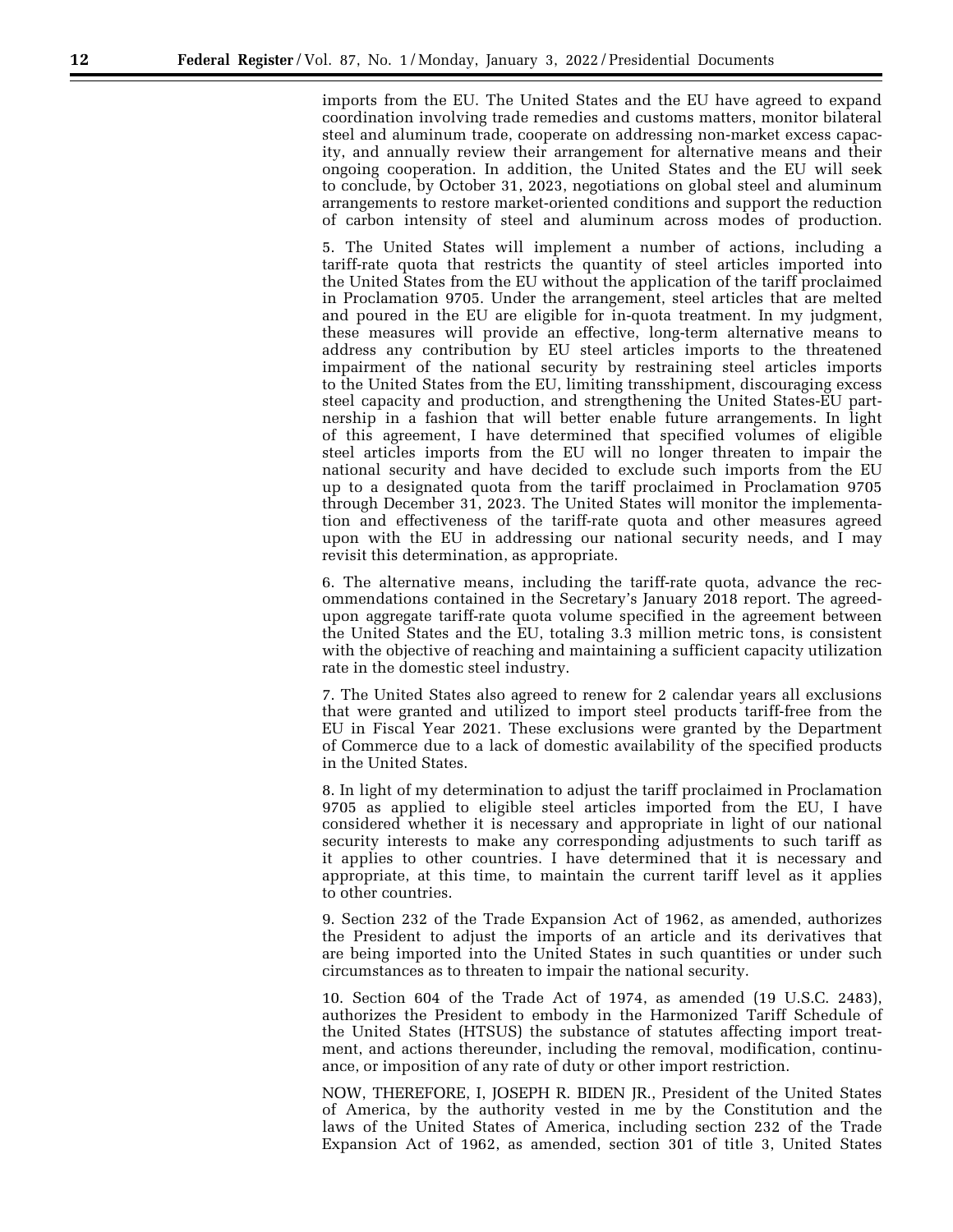imports from the EU. The United States and the EU have agreed to expand coordination involving trade remedies and customs matters, monitor bilateral steel and aluminum trade, cooperate on addressing non-market excess capacity, and annually review their arrangement for alternative means and their ongoing cooperation. In addition, the United States and the EU will seek to conclude, by October 31, 2023, negotiations on global steel and aluminum arrangements to restore market-oriented conditions and support the reduction of carbon intensity of steel and aluminum across modes of production.

5. The United States will implement a number of actions, including a tariff-rate quota that restricts the quantity of steel articles imported into the United States from the EU without the application of the tariff proclaimed in Proclamation 9705. Under the arrangement, steel articles that are melted and poured in the EU are eligible for in-quota treatment. In my judgment, these measures will provide an effective, long-term alternative means to address any contribution by EU steel articles imports to the threatened impairment of the national security by restraining steel articles imports to the United States from the EU, limiting transshipment, discouraging excess steel capacity and production, and strengthening the United States-EU partnership in a fashion that will better enable future arrangements. In light of this agreement, I have determined that specified volumes of eligible steel articles imports from the EU will no longer threaten to impair the national security and have decided to exclude such imports from the EU up to a designated quota from the tariff proclaimed in Proclamation 9705 through December 31, 2023. The United States will monitor the implementation and effectiveness of the tariff-rate quota and other measures agreed upon with the EU in addressing our national security needs, and I may revisit this determination, as appropriate.

6. The alternative means, including the tariff-rate quota, advance the recommendations contained in the Secretary's January 2018 report. The agreedupon aggregate tariff-rate quota volume specified in the agreement between the United States and the EU, totaling 3.3 million metric tons, is consistent with the objective of reaching and maintaining a sufficient capacity utilization rate in the domestic steel industry.

7. The United States also agreed to renew for 2 calendar years all exclusions that were granted and utilized to import steel products tariff-free from the EU in Fiscal Year 2021. These exclusions were granted by the Department of Commerce due to a lack of domestic availability of the specified products in the United States.

8. In light of my determination to adjust the tariff proclaimed in Proclamation 9705 as applied to eligible steel articles imported from the EU, I have considered whether it is necessary and appropriate in light of our national security interests to make any corresponding adjustments to such tariff as it applies to other countries. I have determined that it is necessary and appropriate, at this time, to maintain the current tariff level as it applies to other countries.

9. Section 232 of the Trade Expansion Act of 1962, as amended, authorizes the President to adjust the imports of an article and its derivatives that are being imported into the United States in such quantities or under such circumstances as to threaten to impair the national security.

10. Section 604 of the Trade Act of 1974, as amended (19 U.S.C. 2483), authorizes the President to embody in the Harmonized Tariff Schedule of the United States (HTSUS) the substance of statutes affecting import treatment, and actions thereunder, including the removal, modification, continuance, or imposition of any rate of duty or other import restriction.

NOW, THEREFORE, I, JOSEPH R. BIDEN JR., President of the United States of America, by the authority vested in me by the Constitution and the laws of the United States of America, including section 232 of the Trade Expansion Act of 1962, as amended, section 301 of title 3, United States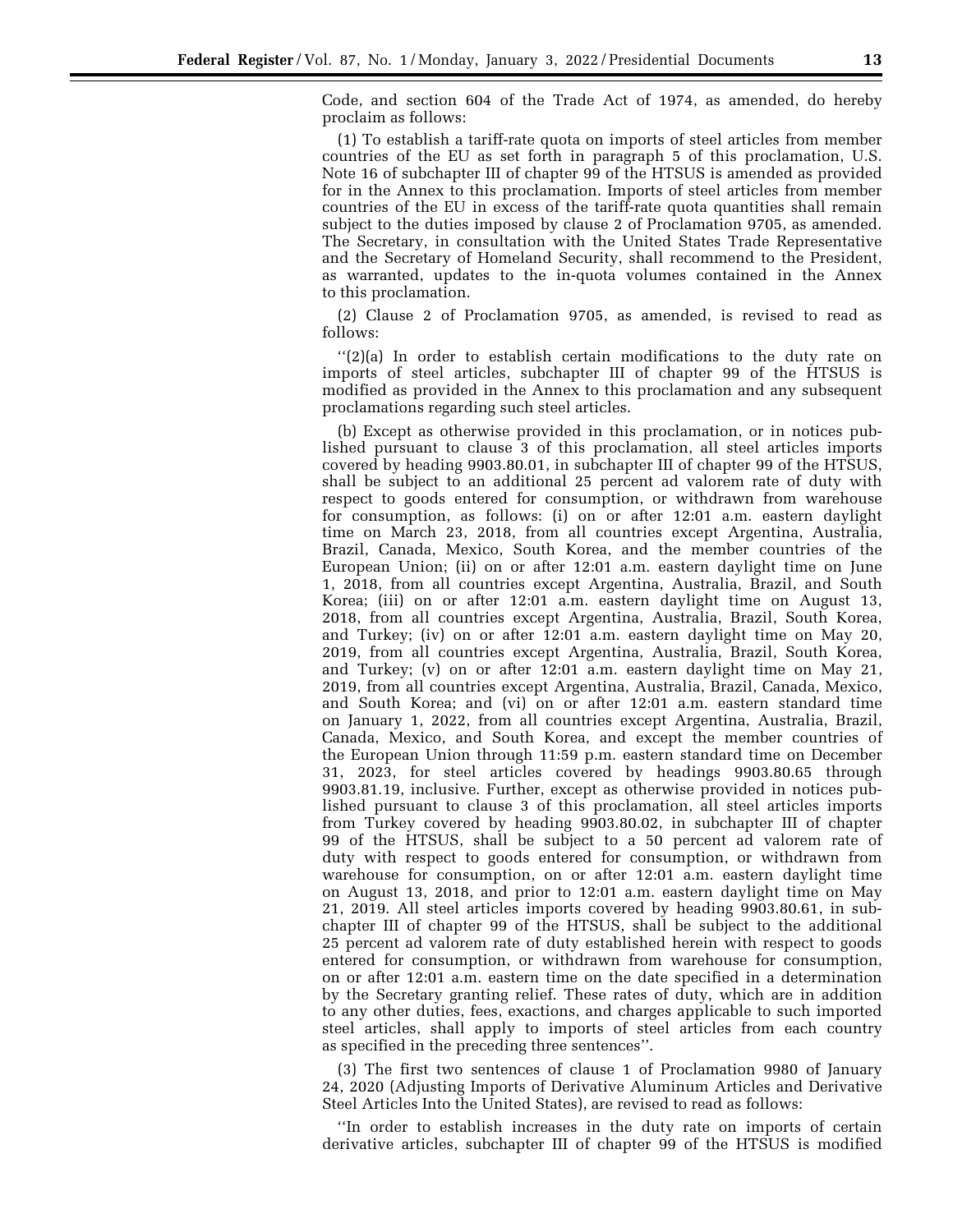Code, and section 604 of the Trade Act of 1974, as amended, do hereby proclaim as follows:

(1) To establish a tariff-rate quota on imports of steel articles from member countries of the EU as set forth in paragraph 5 of this proclamation, U.S. Note 16 of subchapter III of chapter 99 of the HTSUS is amended as provided for in the Annex to this proclamation. Imports of steel articles from member countries of the EU in excess of the tariff-rate quota quantities shall remain subject to the duties imposed by clause 2 of Proclamation 9705, as amended. The Secretary, in consultation with the United States Trade Representative and the Secretary of Homeland Security, shall recommend to the President, as warranted, updates to the in-quota volumes contained in the Annex to this proclamation.

(2) Clause 2 of Proclamation 9705, as amended, is revised to read as follows:

''(2)(a) In order to establish certain modifications to the duty rate on imports of steel articles, subchapter III of chapter 99 of the HTSUS is modified as provided in the Annex to this proclamation and any subsequent proclamations regarding such steel articles.

(b) Except as otherwise provided in this proclamation, or in notices published pursuant to clause 3 of this proclamation, all steel articles imports covered by heading 9903.80.01, in subchapter III of chapter 99 of the HTSUS, shall be subject to an additional 25 percent ad valorem rate of duty with respect to goods entered for consumption, or withdrawn from warehouse for consumption, as follows: (i) on or after 12:01 a.m. eastern daylight time on March 23, 2018, from all countries except Argentina, Australia, Brazil, Canada, Mexico, South Korea, and the member countries of the European Union; (ii) on or after 12:01 a.m. eastern daylight time on June 1, 2018, from all countries except Argentina, Australia, Brazil, and South Korea; (iii) on or after 12:01 a.m. eastern daylight time on August 13, 2018, from all countries except Argentina, Australia, Brazil, South Korea, and Turkey; (iv) on or after 12:01 a.m. eastern daylight time on May 20, 2019, from all countries except Argentina, Australia, Brazil, South Korea, and Turkey; (v) on or after 12:01 a.m. eastern daylight time on May 21, 2019, from all countries except Argentina, Australia, Brazil, Canada, Mexico, and South Korea; and (vi) on or after 12:01 a.m. eastern standard time on January 1, 2022, from all countries except Argentina, Australia, Brazil, Canada, Mexico, and South Korea, and except the member countries of the European Union through 11:59 p.m. eastern standard time on December 31, 2023, for steel articles covered by headings 9903.80.65 through 9903.81.19, inclusive. Further, except as otherwise provided in notices published pursuant to clause 3 of this proclamation, all steel articles imports from Turkey covered by heading 9903.80.02, in subchapter III of chapter 99 of the HTSUS, shall be subject to a 50 percent ad valorem rate of duty with respect to goods entered for consumption, or withdrawn from warehouse for consumption, on or after 12:01 a.m. eastern daylight time on August 13, 2018, and prior to 12:01 a.m. eastern daylight time on May 21, 2019. All steel articles imports covered by heading 9903.80.61, in subchapter III of chapter 99 of the HTSUS, shall be subject to the additional 25 percent ad valorem rate of duty established herein with respect to goods entered for consumption, or withdrawn from warehouse for consumption, on or after 12:01 a.m. eastern time on the date specified in a determination by the Secretary granting relief. These rates of duty, which are in addition to any other duties, fees, exactions, and charges applicable to such imported steel articles, shall apply to imports of steel articles from each country as specified in the preceding three sentences''.

(3) The first two sentences of clause 1 of Proclamation 9980 of January 24, 2020 (Adjusting Imports of Derivative Aluminum Articles and Derivative Steel Articles Into the United States), are revised to read as follows:

''In order to establish increases in the duty rate on imports of certain derivative articles, subchapter III of chapter 99 of the HTSUS is modified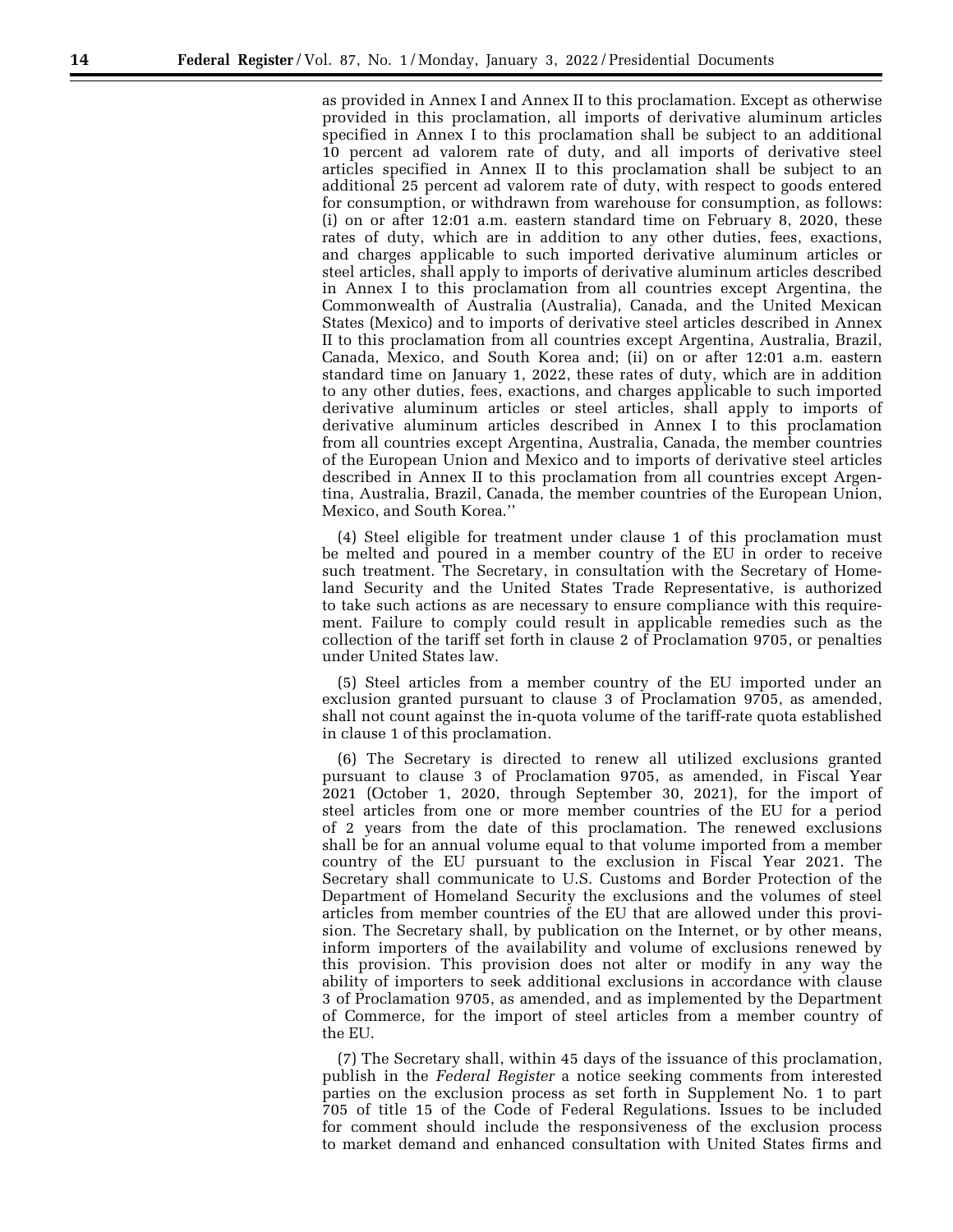as provided in Annex I and Annex II to this proclamation. Except as otherwise provided in this proclamation, all imports of derivative aluminum articles specified in Annex I to this proclamation shall be subject to an additional 10 percent ad valorem rate of duty, and all imports of derivative steel articles specified in Annex II to this proclamation shall be subject to an additional 25 percent ad valorem rate of duty, with respect to goods entered for consumption, or withdrawn from warehouse for consumption, as follows: (i) on or after 12:01 a.m. eastern standard time on February 8, 2020, these rates of duty, which are in addition to any other duties, fees, exactions, and charges applicable to such imported derivative aluminum articles or steel articles, shall apply to imports of derivative aluminum articles described in Annex I to this proclamation from all countries except Argentina, the Commonwealth of Australia (Australia), Canada, and the United Mexican States (Mexico) and to imports of derivative steel articles described in Annex II to this proclamation from all countries except Argentina, Australia, Brazil, Canada, Mexico, and South Korea and; (ii) on or after 12:01 a.m. eastern standard time on January 1, 2022, these rates of duty, which are in addition to any other duties, fees, exactions, and charges applicable to such imported derivative aluminum articles or steel articles, shall apply to imports of derivative aluminum articles described in Annex I to this proclamation from all countries except Argentina, Australia, Canada, the member countries of the European Union and Mexico and to imports of derivative steel articles described in Annex II to this proclamation from all countries except Argentina, Australia, Brazil, Canada, the member countries of the European Union, Mexico, and South Korea.''

(4) Steel eligible for treatment under clause 1 of this proclamation must be melted and poured in a member country of the EU in order to receive such treatment. The Secretary, in consultation with the Secretary of Homeland Security and the United States Trade Representative, is authorized to take such actions as are necessary to ensure compliance with this requirement. Failure to comply could result in applicable remedies such as the collection of the tariff set forth in clause 2 of Proclamation 9705, or penalties under United States law.

(5) Steel articles from a member country of the EU imported under an exclusion granted pursuant to clause 3 of Proclamation 9705, as amended, shall not count against the in-quota volume of the tariff-rate quota established in clause 1 of this proclamation.

(6) The Secretary is directed to renew all utilized exclusions granted pursuant to clause 3 of Proclamation 9705, as amended, in Fiscal Year 2021 (October 1, 2020, through September 30, 2021), for the import of steel articles from one or more member countries of the EU for a period of 2 years from the date of this proclamation. The renewed exclusions shall be for an annual volume equal to that volume imported from a member country of the EU pursuant to the exclusion in Fiscal Year 2021. The Secretary shall communicate to U.S. Customs and Border Protection of the Department of Homeland Security the exclusions and the volumes of steel articles from member countries of the EU that are allowed under this provision. The Secretary shall, by publication on the Internet, or by other means, inform importers of the availability and volume of exclusions renewed by this provision. This provision does not alter or modify in any way the ability of importers to seek additional exclusions in accordance with clause 3 of Proclamation 9705, as amended, and as implemented by the Department of Commerce, for the import of steel articles from a member country of the EU.

(7) The Secretary shall, within 45 days of the issuance of this proclamation, publish in the *Federal Register* a notice seeking comments from interested parties on the exclusion process as set forth in Supplement No. 1 to part 705 of title 15 of the Code of Federal Regulations. Issues to be included for comment should include the responsiveness of the exclusion process to market demand and enhanced consultation with United States firms and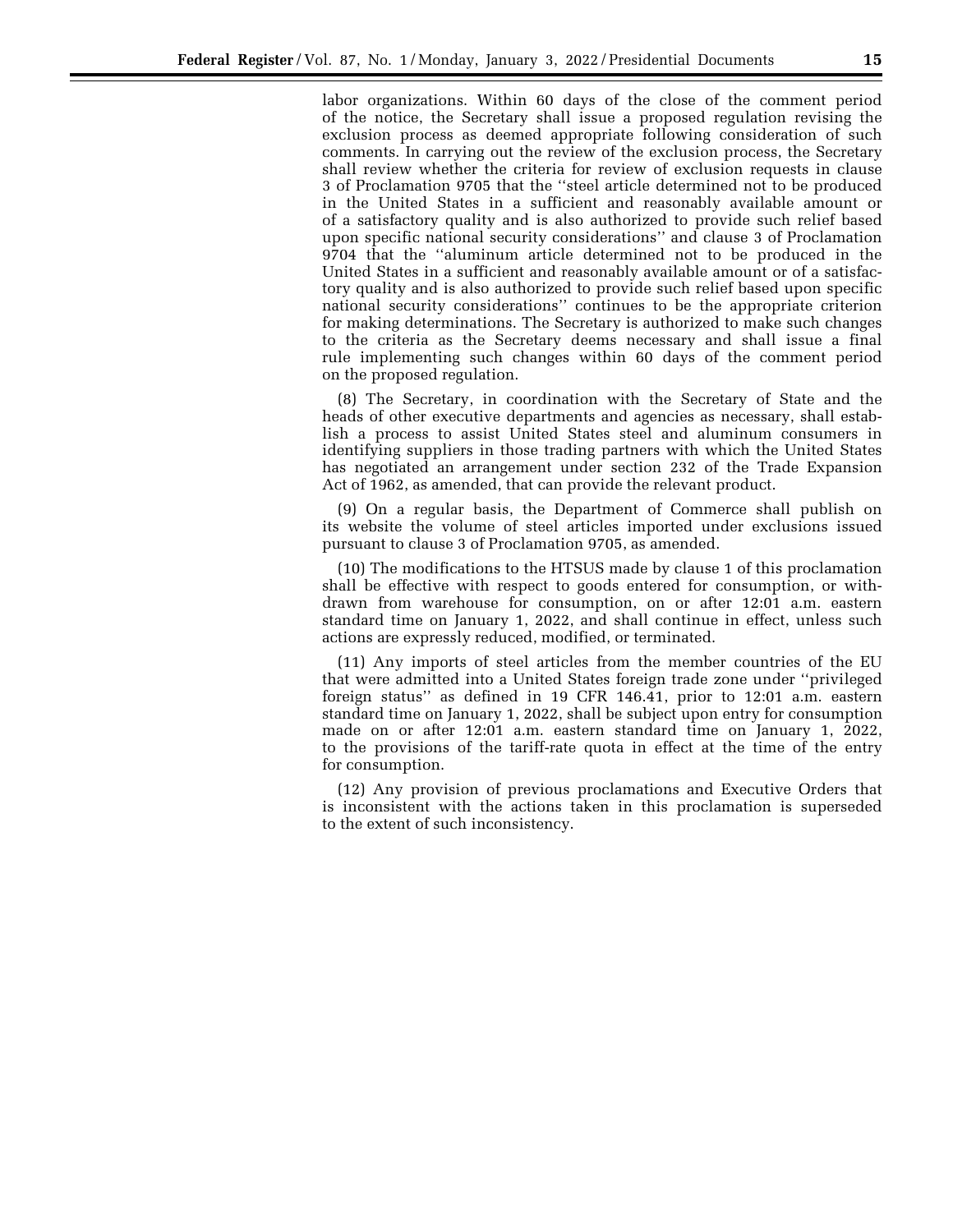labor organizations. Within 60 days of the close of the comment period of the notice, the Secretary shall issue a proposed regulation revising the exclusion process as deemed appropriate following consideration of such comments. In carrying out the review of the exclusion process, the Secretary shall review whether the criteria for review of exclusion requests in clause 3 of Proclamation 9705 that the ''steel article determined not to be produced in the United States in a sufficient and reasonably available amount or of a satisfactory quality and is also authorized to provide such relief based upon specific national security considerations'' and clause 3 of Proclamation 9704 that the ''aluminum article determined not to be produced in the United States in a sufficient and reasonably available amount or of a satisfactory quality and is also authorized to provide such relief based upon specific national security considerations'' continues to be the appropriate criterion for making determinations. The Secretary is authorized to make such changes to the criteria as the Secretary deems necessary and shall issue a final rule implementing such changes within 60 days of the comment period on the proposed regulation.

(8) The Secretary, in coordination with the Secretary of State and the heads of other executive departments and agencies as necessary, shall establish a process to assist United States steel and aluminum consumers in identifying suppliers in those trading partners with which the United States has negotiated an arrangement under section 232 of the Trade Expansion Act of 1962, as amended, that can provide the relevant product.

(9) On a regular basis, the Department of Commerce shall publish on its website the volume of steel articles imported under exclusions issued pursuant to clause 3 of Proclamation 9705, as amended.

(10) The modifications to the HTSUS made by clause 1 of this proclamation shall be effective with respect to goods entered for consumption, or withdrawn from warehouse for consumption, on or after 12:01 a.m. eastern standard time on January 1, 2022, and shall continue in effect, unless such actions are expressly reduced, modified, or terminated.

(11) Any imports of steel articles from the member countries of the EU that were admitted into a United States foreign trade zone under ''privileged foreign status'' as defined in 19 CFR 146.41, prior to 12:01 a.m. eastern standard time on January 1, 2022, shall be subject upon entry for consumption made on or after 12:01 a.m. eastern standard time on January 1, 2022, to the provisions of the tariff-rate quota in effect at the time of the entry for consumption.

(12) Any provision of previous proclamations and Executive Orders that is inconsistent with the actions taken in this proclamation is superseded to the extent of such inconsistency.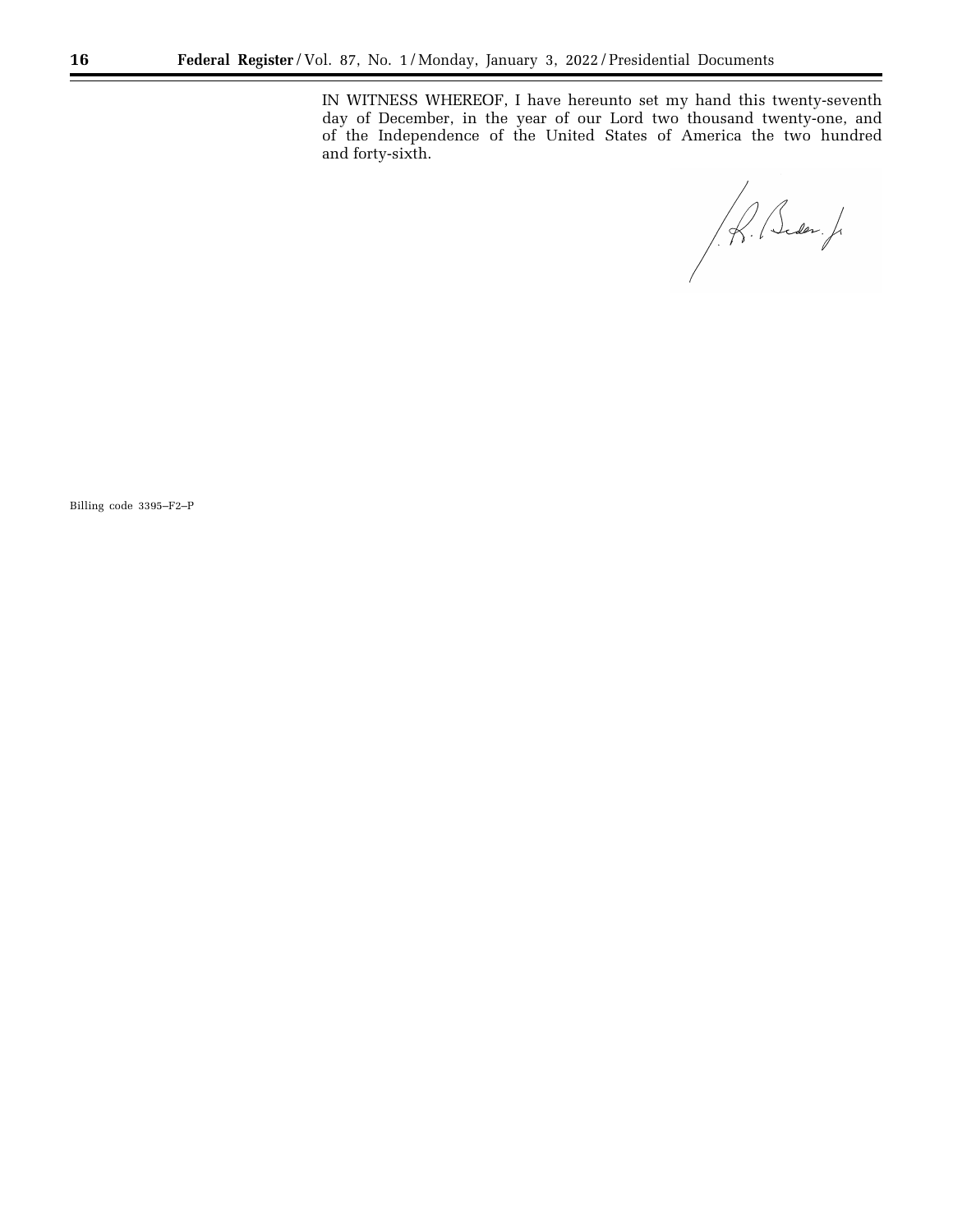IN WITNESS WHEREOF, I have hereunto set my hand this twenty-seventh day of December, in the year of our Lord two thousand twenty-one, and of the Independence of the United States of America the two hundred and forty-sixth.

R. Beder.J.

Billing code 3395–F2–P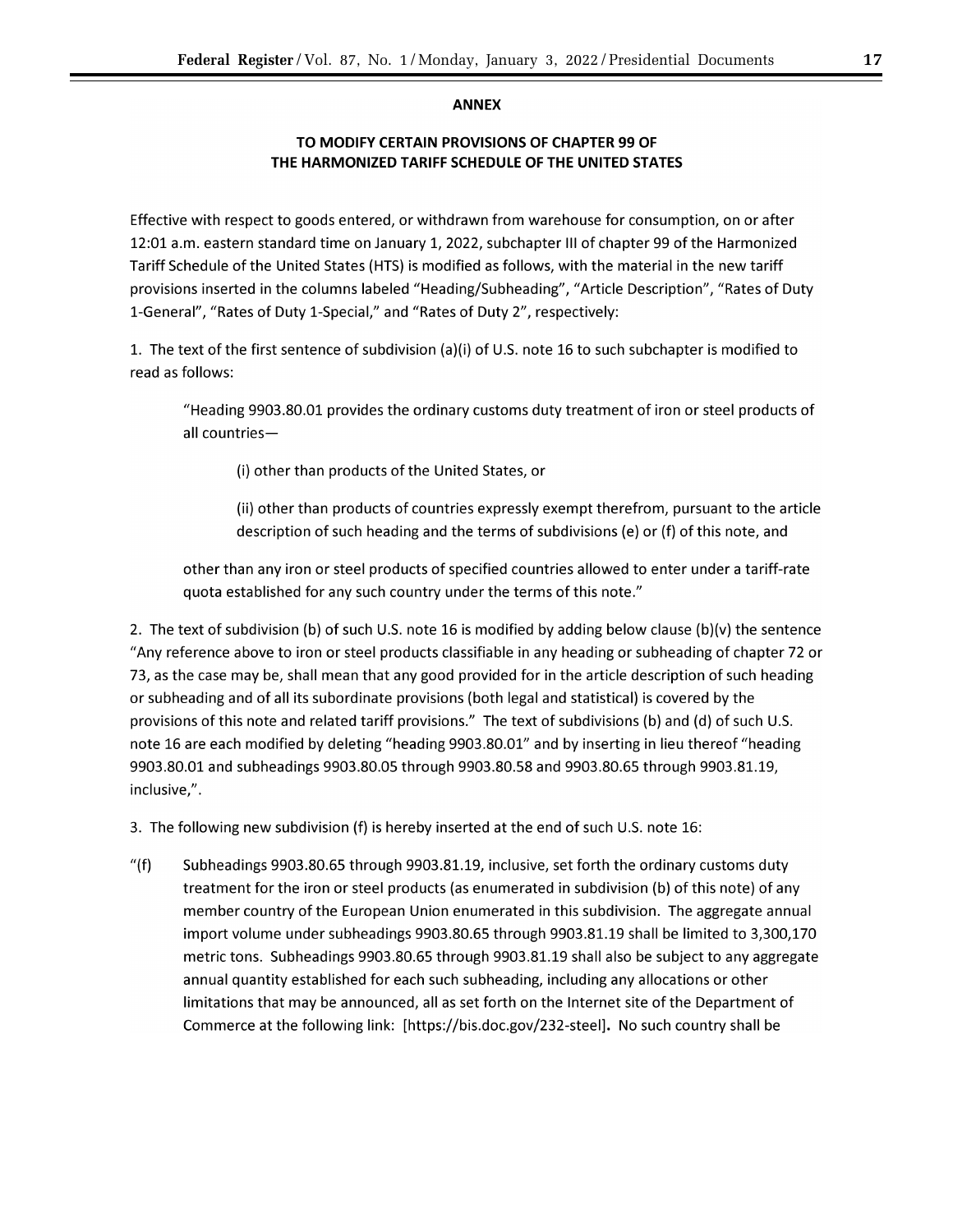## **ANNEX**

## **TO MODIFY CERTAIN PROVISIONS OF CHAPTER 99 OF THE HARMONIZED TARIFF SCHEDULE OF THE UNITED STATES**

Effective with respect to goods entered, or withdrawn from warehouse for consumption, on or after 12:01 a.m. eastern standard time on January 1, 2022, subchapter Ill of chapter 99 of the Harmonized Tariff Schedule of the United States (HTS) is modified as follows, with the material in the new tariff provisions inserted in the columns labeled "Heading/Subheading", "Article Description", "Rates of Duty 1-General", "Rates of Duty 1-Special," and "Rates of Duty 2", respectively:

1. The text of the first sentence of subdivision (a)(i) of U.S. note 16 to such subchapter is modified to read as follows:

"Heading 9903.80.01 provides the ordinary customs duty treatment of iron or steel products of all countries-

(i) other than products of the United States, or

(ii) other than products of countries expressly exempt therefrom, pursuant to the article description of such heading and the terms of subdivisions (e) or (f) of this note, and

other than any iron or steel products of specified countries allowed to enter under a tariff-rate quota established for any such country under the terms of this note."

2. The text of subdivision (b) of such U.S. note 16 is modified by adding below clause (b)(v) the sentence "Any reference above to iron or steel products classifiable in any heading or subheading of chapter 72 or 73, as the case may be, shall mean that any good provided for in the article description of such heading or subheading and of all its subordinate provisions (both legal and statistical) is covered by the provisions of this note and related tariff provisions." The text of subdivisions (b) and (d) of such U.S. note 16 are each modified by deleting "heading 9903.80.01" and by inserting in lieu thereof "heading 9903.80.01 and subheadings 9903.80.05 through 9903.80.58 and 9903.80.65 through 9903.81.19, inclusive,".

3. The following new subdivision (f) is hereby inserted at the end of such U.S. note 16:

"(f) Subheadings 9903.80.65 through 9903.81.19, inclusive, set forth the ordinary customs duty treatment for the iron or steel products (as enumerated in subdivision (b) of this note) of any member country of the European Union enumerated in this subdivision. The aggregate annual import volume under subheadings 9903.80.65 through 9903.81.19 shall be limited to 3,300,170 metric tons. Subheadings 9903.80.65 through 9903.81.19 shall also be subject to any aggregate annual quantity established for each such subheading, including any allocations or other limitations that may be announced, all as set forth on the Internet site of the Department of Commerce at the following link: [\[https://bis.doc.gov/232-steel\].](https://bis.doc.gov/232-steel) No such country shall be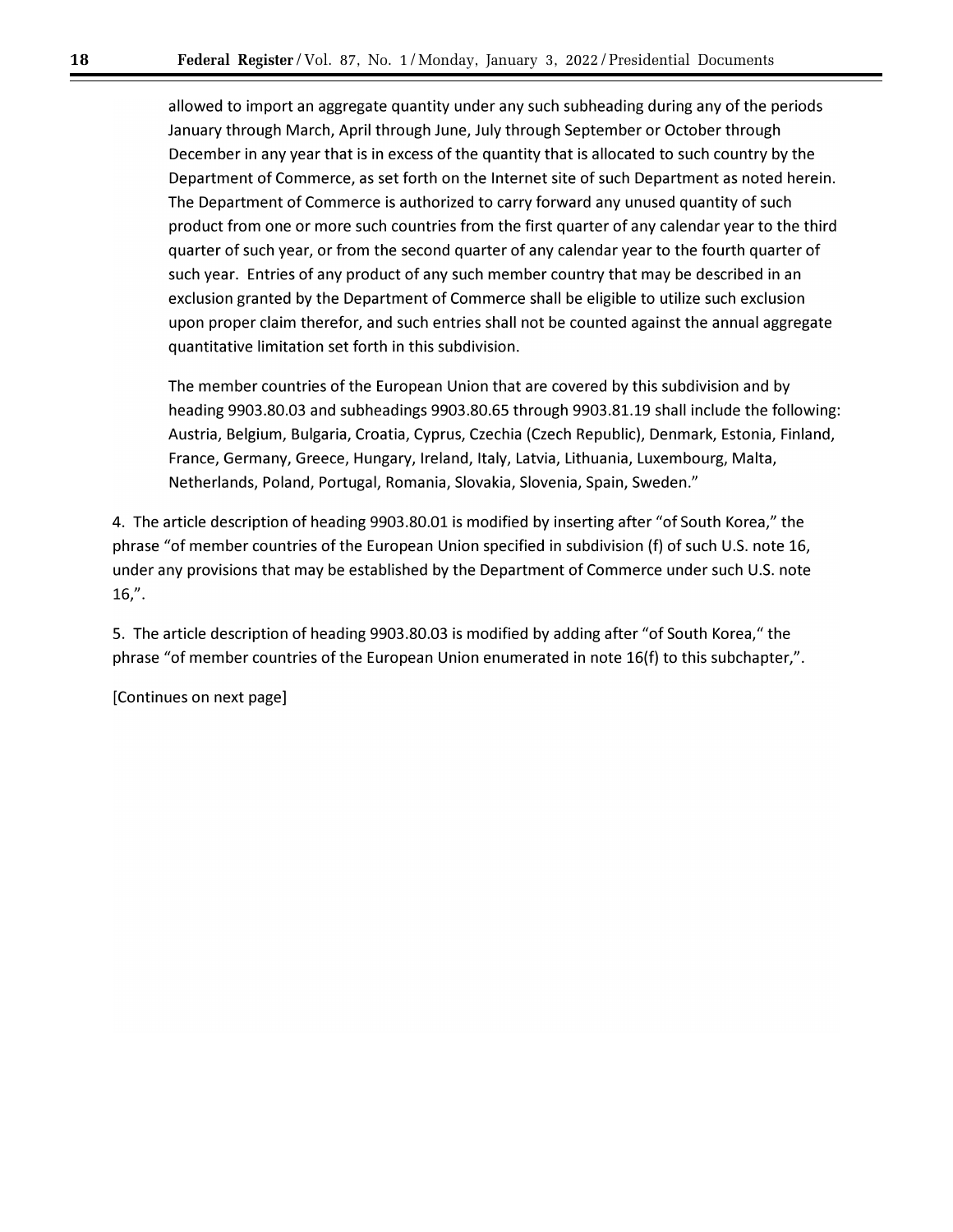allowed to import an aggregate quantity under any such subheading during any of the periods January through March, April through June, July through September or October through December in any year that is in excess of the quantity that is allocated to such country by the Department of Commerce, as set forth on the Internet site of such Department as noted herein. The Department of Commerce is authorized to carry forward any unused quantity of such product from one or more such countries from the first quarter of any calendar year to the third quarter of such year, or from the second quarter of any calendar year to the fourth quarter of such year. Entries of any product of any such member country that may be described in an exclusion granted by the Department of Commerce shall be eligible to utilize such exclusion upon proper claim therefor, and such entries shall not be counted against the annual aggregate quantitative limitation set forth in this subdivision.

The member countries of the European Union that are covered by this subdivision and by heading 9903.80.03 and subheadings 9903.80.65 through 9903.81.19 shall include the following: Austria, Belgium, Bulgaria, Croatia, Cyprus, Czechia (Czech Republic), Denmark, Estonia, Finland, France, Germany, Greece, Hungary, Ireland, Italy, Latvia, Lithuania, Luxembourg, Malta, Netherlands, Poland, Portugal, Romania, Slovakia, Slovenia, Spain, Sweden."

4. The article description of heading 9903.80.01 is modified by inserting after "of South Korea," the phrase "of member countries of the European Union specified in subdivision (f) of such U.S. note 16, under any provisions that may be established by the Department of Commerce under such U.S. note 16,".

5. The article description of heading 9903.80.03 is modified by adding after "of South Korea," the phrase "of member countries of the European Union enumerated in note 16(f) to this subchapter,".

[Continues on next page]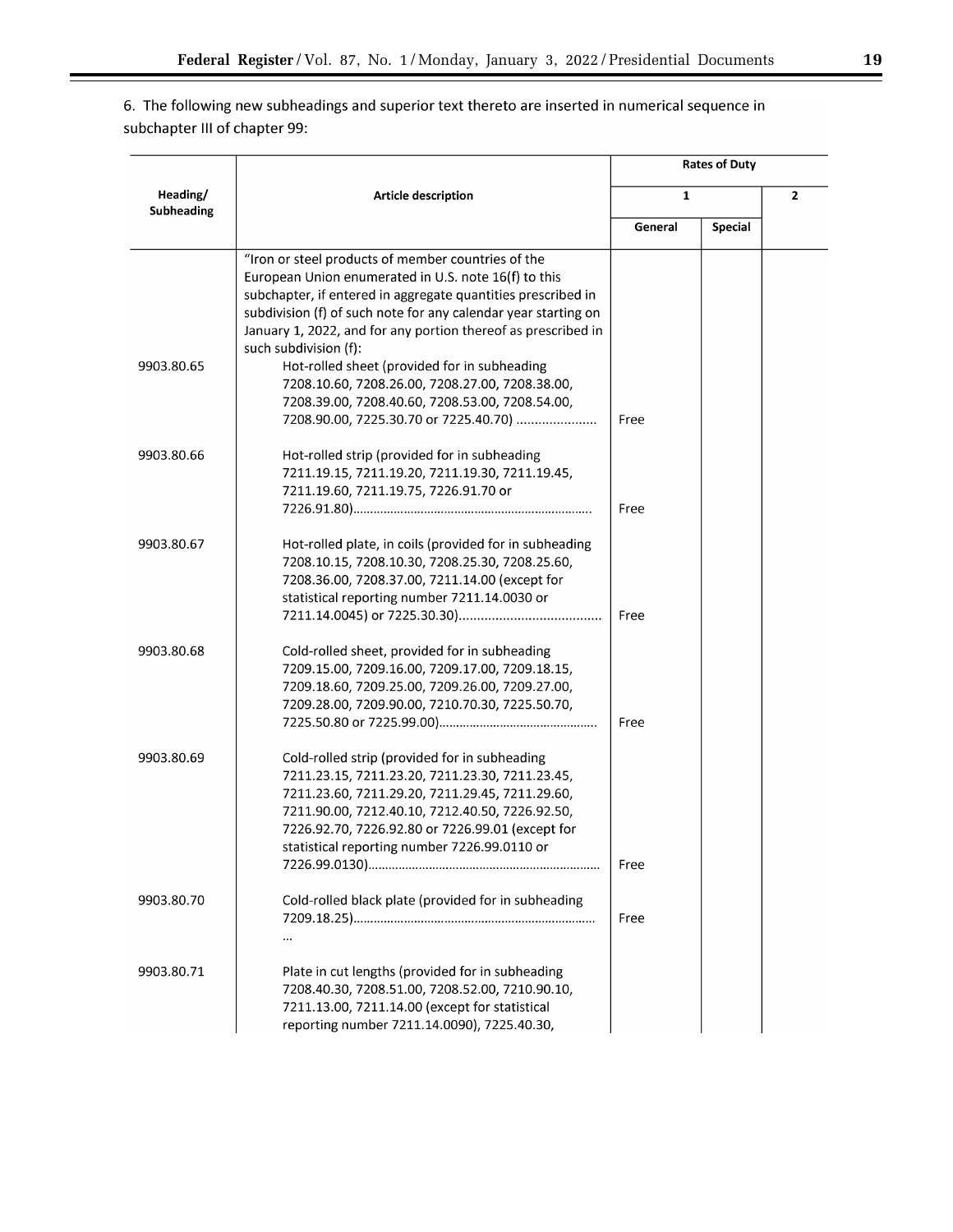6. The following new subheadings and superior text thereto are inserted in numerical sequence in subchapter Ill of chapter 99:

|                               |                                                                |              | <b>Rates of Duty</b> |                |
|-------------------------------|----------------------------------------------------------------|--------------|----------------------|----------------|
| Heading/<br><b>Subheading</b> | Article description                                            | $\mathbf{1}$ |                      | $\overline{2}$ |
|                               |                                                                | General      | Special              |                |
|                               | "Iron or steel products of member countries of the             |              |                      |                |
|                               | European Union enumerated in U.S. note 16(f) to this           |              |                      |                |
|                               | subchapter, if entered in aggregate quantities prescribed in   |              |                      |                |
|                               | subdivision (f) of such note for any calendar year starting on |              |                      |                |
|                               | January 1, 2022, and for any portion thereof as prescribed in  |              |                      |                |
|                               | such subdivision (f):                                          |              |                      |                |
| 9903.80.65                    | Hot-rolled sheet (provided for in subheading                   |              |                      |                |
|                               | 7208.10.60, 7208.26.00, 7208.27.00, 7208.38.00,                |              |                      |                |
|                               | 7208.39.00, 7208.40.60, 7208.53.00, 7208.54.00,                |              |                      |                |
|                               | 7208.90.00, 7225.30.70 or 7225.40.70)                          | Free         |                      |                |
| 9903.80.66                    | Hot-rolled strip (provided for in subheading                   |              |                      |                |
|                               | 7211.19.15, 7211.19.20, 7211.19.30, 7211.19.45,                |              |                      |                |
|                               | 7211.19.60, 7211.19.75, 7226.91.70 or                          |              |                      |                |
|                               |                                                                | Free         |                      |                |
| 9903.80.67                    | Hot-rolled plate, in coils (provided for in subheading         |              |                      |                |
|                               | 7208.10.15, 7208.10.30, 7208.25.30, 7208.25.60,                |              |                      |                |
|                               | 7208.36.00, 7208.37.00, 7211.14.00 (except for                 |              |                      |                |
|                               | statistical reporting number 7211.14.0030 or                   |              |                      |                |
|                               |                                                                | Free         |                      |                |
| 9903.80.68                    | Cold-rolled sheet, provided for in subheading                  |              |                      |                |
|                               | 7209.15.00, 7209.16.00, 7209.17.00, 7209.18.15,                |              |                      |                |
|                               | 7209.18.60, 7209.25.00, 7209.26.00, 7209.27.00,                |              |                      |                |
|                               | 7209.28.00, 7209.90.00, 7210.70.30, 7225.50.70,                |              |                      |                |
|                               |                                                                | Free         |                      |                |
| 9903.80.69                    | Cold-rolled strip (provided for in subheading                  |              |                      |                |
|                               | 7211.23.15, 7211.23.20, 7211.23.30, 7211.23.45,                |              |                      |                |
|                               | 7211.23.60, 7211.29.20, 7211.29.45, 7211.29.60,                |              |                      |                |
|                               | 7211.90.00, 7212.40.10, 7212.40.50, 7226.92.50,                |              |                      |                |
|                               | 7226.92.70, 7226.92.80 or 7226.99.01 (except for               |              |                      |                |
|                               | statistical reporting number 7226.99.0110 or                   |              |                      |                |
|                               |                                                                | Free         |                      |                |
| 9903.80.70                    | Cold-rolled black plate (provided for in subheading            |              |                      |                |
|                               |                                                                | Free         |                      |                |
|                               | $\ddotsc$                                                      |              |                      |                |
| 9903.80.71                    | Plate in cut lengths (provided for in subheading               |              |                      |                |
|                               | 7208.40.30, 7208.51.00, 7208.52.00, 7210.90.10,                |              |                      |                |
|                               | 7211.13.00, 7211.14.00 (except for statistical                 |              |                      |                |
|                               | reporting number 7211.14.0090), 7225.40.30,                    |              |                      |                |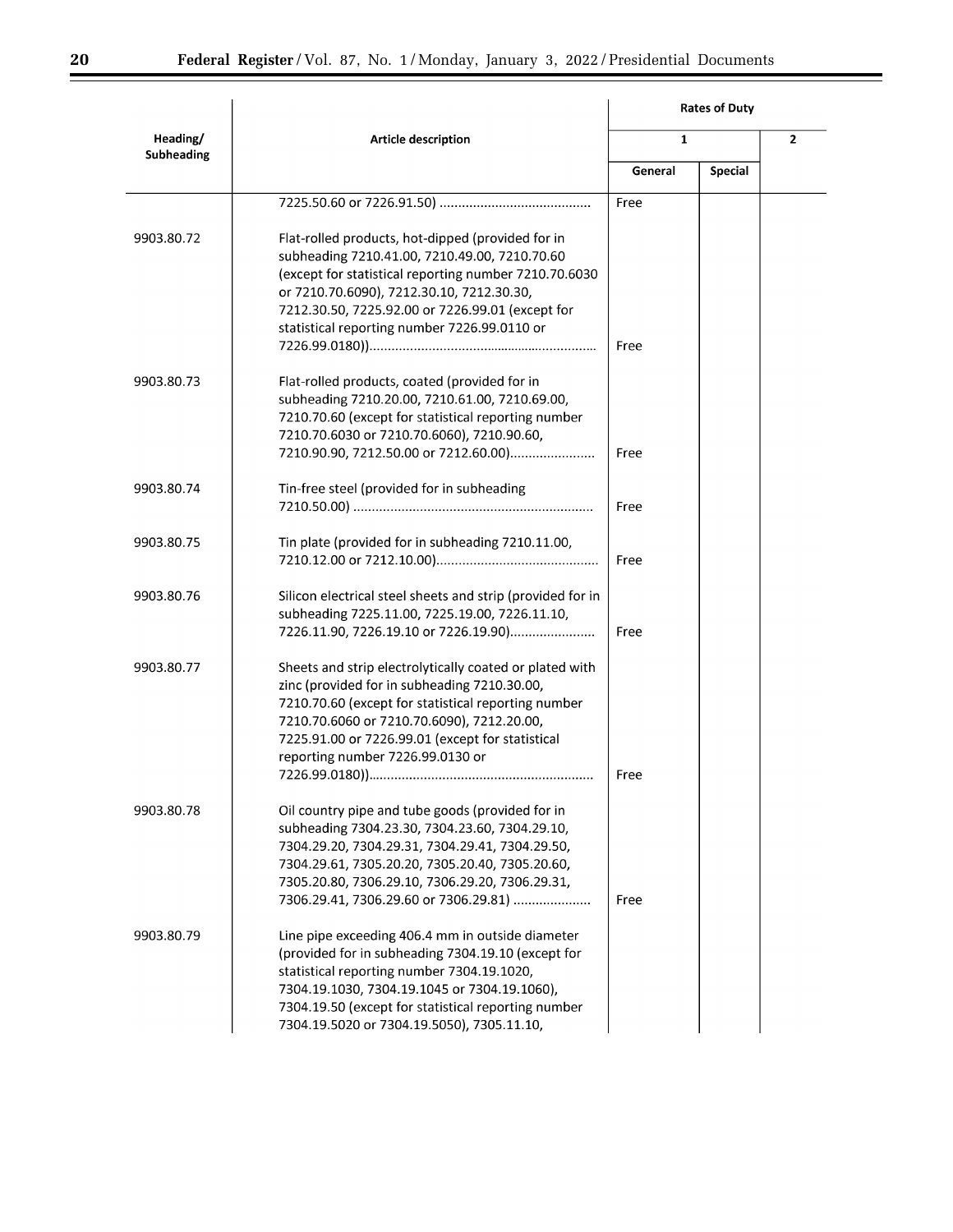▀

|                        |                                                                                                                                                                                                                                                                                                              | <b>Rates of Duty</b> |                |  |                |
|------------------------|--------------------------------------------------------------------------------------------------------------------------------------------------------------------------------------------------------------------------------------------------------------------------------------------------------------|----------------------|----------------|--|----------------|
| Heading/<br>Subheading | Article description                                                                                                                                                                                                                                                                                          | $\mathbf{1}$         |                |  | $\overline{2}$ |
|                        |                                                                                                                                                                                                                                                                                                              | General              | <b>Special</b> |  |                |
|                        |                                                                                                                                                                                                                                                                                                              | Free                 |                |  |                |
| 9903.80.72             | Flat-rolled products, hot-dipped (provided for in<br>subheading 7210.41.00, 7210.49.00, 7210.70.60<br>(except for statistical reporting number 7210.70.6030<br>or 7210.70.6090), 7212.30.10, 7212.30.30,<br>7212.30.50, 7225.92.00 or 7226.99.01 (except for<br>statistical reporting number 7226.99.0110 or | Free                 |                |  |                |
| 9903.80.73             | Flat-rolled products, coated (provided for in<br>subheading 7210.20.00, 7210.61.00, 7210.69.00,<br>7210.70.60 (except for statistical reporting number<br>7210.70.6030 or 7210.70.6060), 7210.90.60,<br>7210.90.90, 7212.50.00 or 7212.60.00)                                                                | Free                 |                |  |                |
| 9903.80.74             | Tin-free steel (provided for in subheading                                                                                                                                                                                                                                                                   | Free                 |                |  |                |
| 9903.80.75             | Tin plate (provided for in subheading 7210.11.00,                                                                                                                                                                                                                                                            | Free                 |                |  |                |
| 9903.80.76             | Silicon electrical steel sheets and strip (provided for in<br>subheading 7225.11.00, 7225.19.00, 7226.11.10,<br>7226.11.90, 7226.19.10 or 7226.19.90)                                                                                                                                                        | Free                 |                |  |                |
| 9903.80.77             | Sheets and strip electrolytically coated or plated with<br>zinc (provided for in subheading 7210.30.00,<br>7210.70.60 (except for statistical reporting number<br>7210.70.6060 or 7210.70.6090), 7212.20.00,<br>7225.91.00 or 7226.99.01 (except for statistical<br>reporting number 7226.99.0130 or         | Free                 |                |  |                |
| 9903.80.78             | Oil country pipe and tube goods (provided for in<br>subheading 7304.23.30, 7304.23.60, 7304.29.10,<br>7304.29.20, 7304.29.31, 7304.29.41, 7304.29.50,<br>7304.29.61, 7305.20.20, 7305.20.40, 7305.20.60,<br>7305.20.80, 7306.29.10, 7306.29.20, 7306.29.31,<br>7306.29.41, 7306.29.60 or 7306.29.81)         | Free                 |                |  |                |
| 9903.80.79             | Line pipe exceeding 406.4 mm in outside diameter<br>(provided for in subheading 7304.19.10 (except for<br>statistical reporting number 7304.19.1020,<br>7304.19.1030, 7304.19.1045 or 7304.19.1060),<br>7304.19.50 (except for statistical reporting number<br>7304.19.5020 or 7304.19.5050), 7305.11.10,    |                      |                |  |                |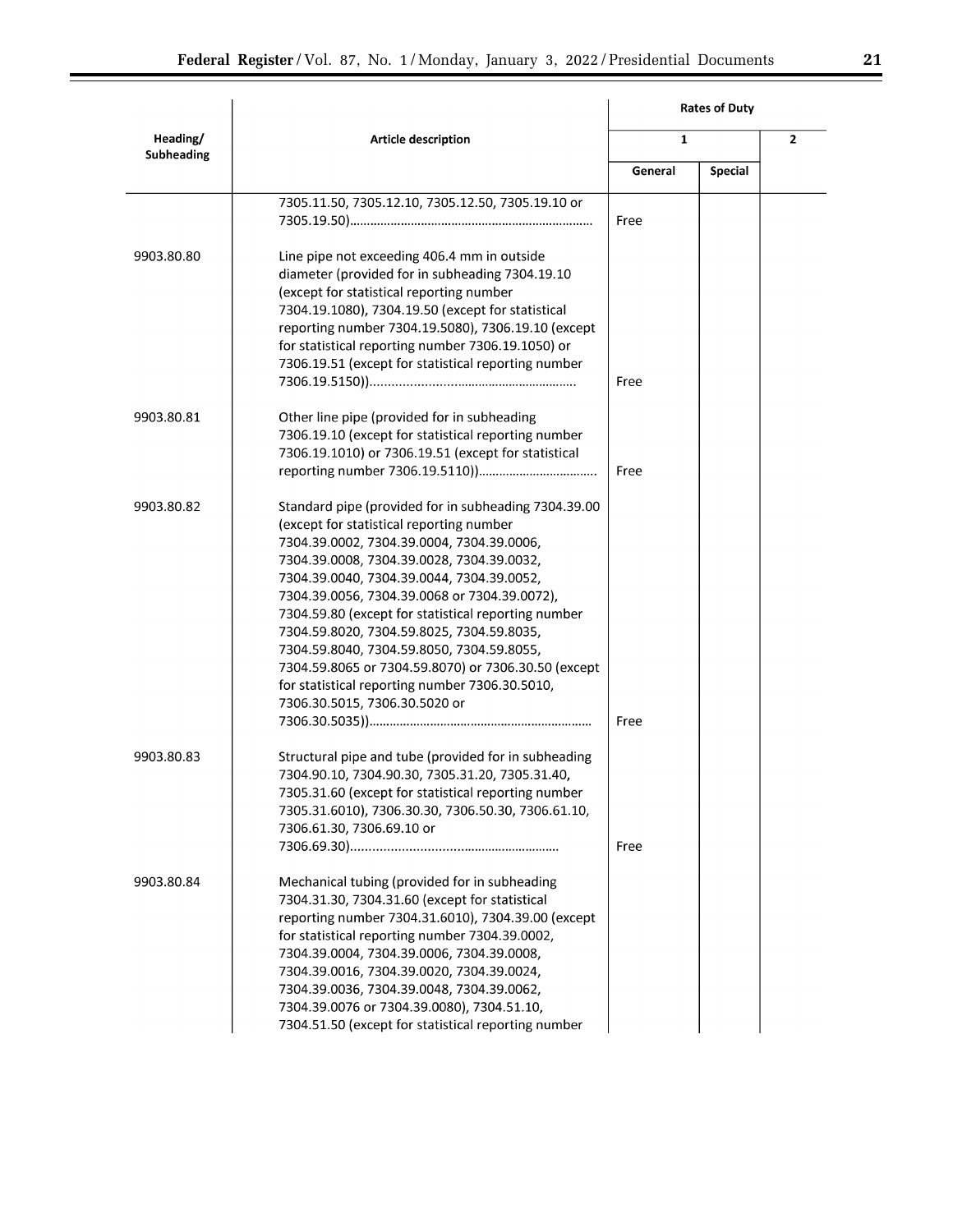|                        |                                                                                                                                                                                                                                                                                                                                                                                                                                                                                                                                                                                    |              | <b>Rates of Duty</b> |                |
|------------------------|------------------------------------------------------------------------------------------------------------------------------------------------------------------------------------------------------------------------------------------------------------------------------------------------------------------------------------------------------------------------------------------------------------------------------------------------------------------------------------------------------------------------------------------------------------------------------------|--------------|----------------------|----------------|
| Heading/<br>Subheading | Article description                                                                                                                                                                                                                                                                                                                                                                                                                                                                                                                                                                | $\mathbf{1}$ |                      | $\overline{2}$ |
|                        |                                                                                                                                                                                                                                                                                                                                                                                                                                                                                                                                                                                    | General      | <b>Special</b>       |                |
|                        | 7305.11.50, 7305.12.10, 7305.12.50, 7305.19.10 or                                                                                                                                                                                                                                                                                                                                                                                                                                                                                                                                  | Free         |                      |                |
| 9903.80.80             | Line pipe not exceeding 406.4 mm in outside<br>diameter (provided for in subheading 7304.19.10<br>(except for statistical reporting number<br>7304.19.1080), 7304.19.50 (except for statistical<br>reporting number 7304.19.5080), 7306.19.10 (except<br>for statistical reporting number 7306.19.1050) or<br>7306.19.51 (except for statistical reporting number                                                                                                                                                                                                                  | Free         |                      |                |
| 9903.80.81             | Other line pipe (provided for in subheading<br>7306.19.10 (except for statistical reporting number<br>7306.19.1010) or 7306.19.51 (except for statistical                                                                                                                                                                                                                                                                                                                                                                                                                          | Free         |                      |                |
| 9903.80.82             | Standard pipe (provided for in subheading 7304.39.00<br>(except for statistical reporting number<br>7304.39.0002, 7304.39.0004, 7304.39.0006,<br>7304.39.0008, 7304.39.0028, 7304.39.0032,<br>7304.39.0040, 7304.39.0044, 7304.39.0052,<br>7304.39.0056, 7304.39.0068 or 7304.39.0072),<br>7304.59.80 (except for statistical reporting number<br>7304.59.8020, 7304.59.8025, 7304.59.8035,<br>7304.59.8040, 7304.59.8050, 7304.59.8055,<br>7304.59.8065 or 7304.59.8070) or 7306.30.50 (except<br>for statistical reporting number 7306.30.5010,<br>7306.30.5015, 7306.30.5020 or | Free         |                      |                |
| 9903.80.83             | Structural pipe and tube (provided for in subheading<br>7304.90.10, 7304.90.30, 7305.31.20, 7305.31.40,<br>7305.31.60 (except for statistical reporting number<br>7305.31.6010), 7306.30.30, 7306.50.30, 7306.61.10,<br>7306.61.30, 7306.69.10 or                                                                                                                                                                                                                                                                                                                                  | Free         |                      |                |
| 9903.80.84             | Mechanical tubing (provided for in subheading<br>7304.31.30, 7304.31.60 (except for statistical<br>reporting number 7304.31.6010), 7304.39.00 (except<br>for statistical reporting number 7304.39.0002,<br>7304.39.0004, 7304.39.0006, 7304.39.0008,<br>7304.39.0016, 7304.39.0020, 7304.39.0024,<br>7304.39.0036, 7304.39.0048, 7304.39.0062,<br>7304.39.0076 or 7304.39.0080), 7304.51.10,<br>7304.51.50 (except for statistical reporting number                                                                                                                                |              |                      |                |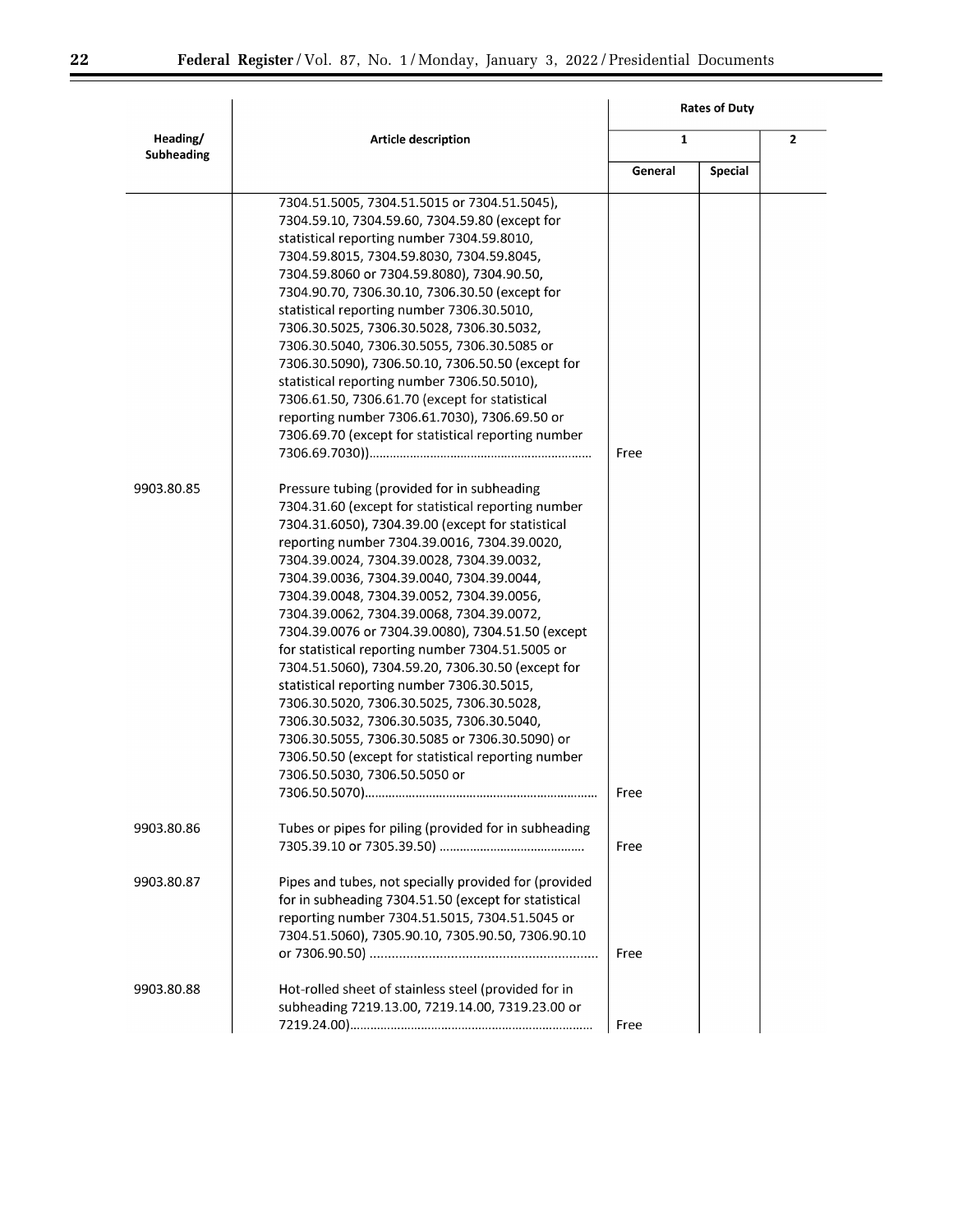▀

|                        |                                                                                                                                                                                                                                                                                                                                                                                                                                                                                                                                                                                                                                                                                                                                                                                                         |              | <b>Rates of Duty</b> |                |
|------------------------|---------------------------------------------------------------------------------------------------------------------------------------------------------------------------------------------------------------------------------------------------------------------------------------------------------------------------------------------------------------------------------------------------------------------------------------------------------------------------------------------------------------------------------------------------------------------------------------------------------------------------------------------------------------------------------------------------------------------------------------------------------------------------------------------------------|--------------|----------------------|----------------|
| Heading/<br>Subheading | Article description                                                                                                                                                                                                                                                                                                                                                                                                                                                                                                                                                                                                                                                                                                                                                                                     | $\mathbf{1}$ |                      | $\overline{2}$ |
|                        |                                                                                                                                                                                                                                                                                                                                                                                                                                                                                                                                                                                                                                                                                                                                                                                                         | General      | <b>Special</b>       |                |
| 9903.80.85             | 7304.51.5005, 7304.51.5015 or 7304.51.5045),<br>7304.59.10, 7304.59.60, 7304.59.80 (except for<br>statistical reporting number 7304.59.8010,<br>7304.59.8015, 7304.59.8030, 7304.59.8045,<br>7304.59.8060 or 7304.59.8080), 7304.90.50,<br>7304.90.70, 7306.30.10, 7306.30.50 (except for<br>statistical reporting number 7306.30.5010,<br>7306.30.5025, 7306.30.5028, 7306.30.5032,<br>7306.30.5040, 7306.30.5055, 7306.30.5085 or<br>7306.30.5090), 7306.50.10, 7306.50.50 (except for<br>statistical reporting number 7306.50.5010),<br>7306.61.50, 7306.61.70 (except for statistical<br>reporting number 7306.61.7030), 7306.69.50 or<br>7306.69.70 (except for statistical reporting number<br>Pressure tubing (provided for in subheading<br>7304.31.60 (except for statistical reporting number | Free         |                      |                |
|                        | 7304.31.6050), 7304.39.00 (except for statistical<br>reporting number 7304.39.0016, 7304.39.0020,<br>7304.39.0024, 7304.39.0028, 7304.39.0032,<br>7304.39.0036, 7304.39.0040, 7304.39.0044,<br>7304.39.0048, 7304.39.0052, 7304.39.0056,<br>7304.39.0062, 7304.39.0068, 7304.39.0072,<br>7304.39.0076 or 7304.39.0080), 7304.51.50 (except<br>for statistical reporting number 7304.51.5005 or<br>7304.51.5060), 7304.59.20, 7306.30.50 (except for<br>statistical reporting number 7306.30.5015,<br>7306.30.5020, 7306.30.5025, 7306.30.5028,<br>7306.30.5032, 7306.30.5035, 7306.30.5040,<br>7306.30.5055, 7306.30.5085 or 7306.30.5090) or<br>7306.50.50 (except for statistical reporting number<br>7306.50.5030, 7306.50.5050 or                                                                   | Free         |                      |                |
| 9903.80.86             | Tubes or pipes for piling (provided for in subheading                                                                                                                                                                                                                                                                                                                                                                                                                                                                                                                                                                                                                                                                                                                                                   | Free         |                      |                |
| 9903.80.87             | Pipes and tubes, not specially provided for (provided<br>for in subheading 7304.51.50 (except for statistical<br>reporting number 7304.51.5015, 7304.51.5045 or<br>7304.51.5060), 7305.90.10, 7305.90.50, 7306.90.10                                                                                                                                                                                                                                                                                                                                                                                                                                                                                                                                                                                    | Free         |                      |                |
| 9903.80.88             | Hot-rolled sheet of stainless steel (provided for in<br>subheading 7219.13.00, 7219.14.00, 7319.23.00 or                                                                                                                                                                                                                                                                                                                                                                                                                                                                                                                                                                                                                                                                                                | Free         |                      |                |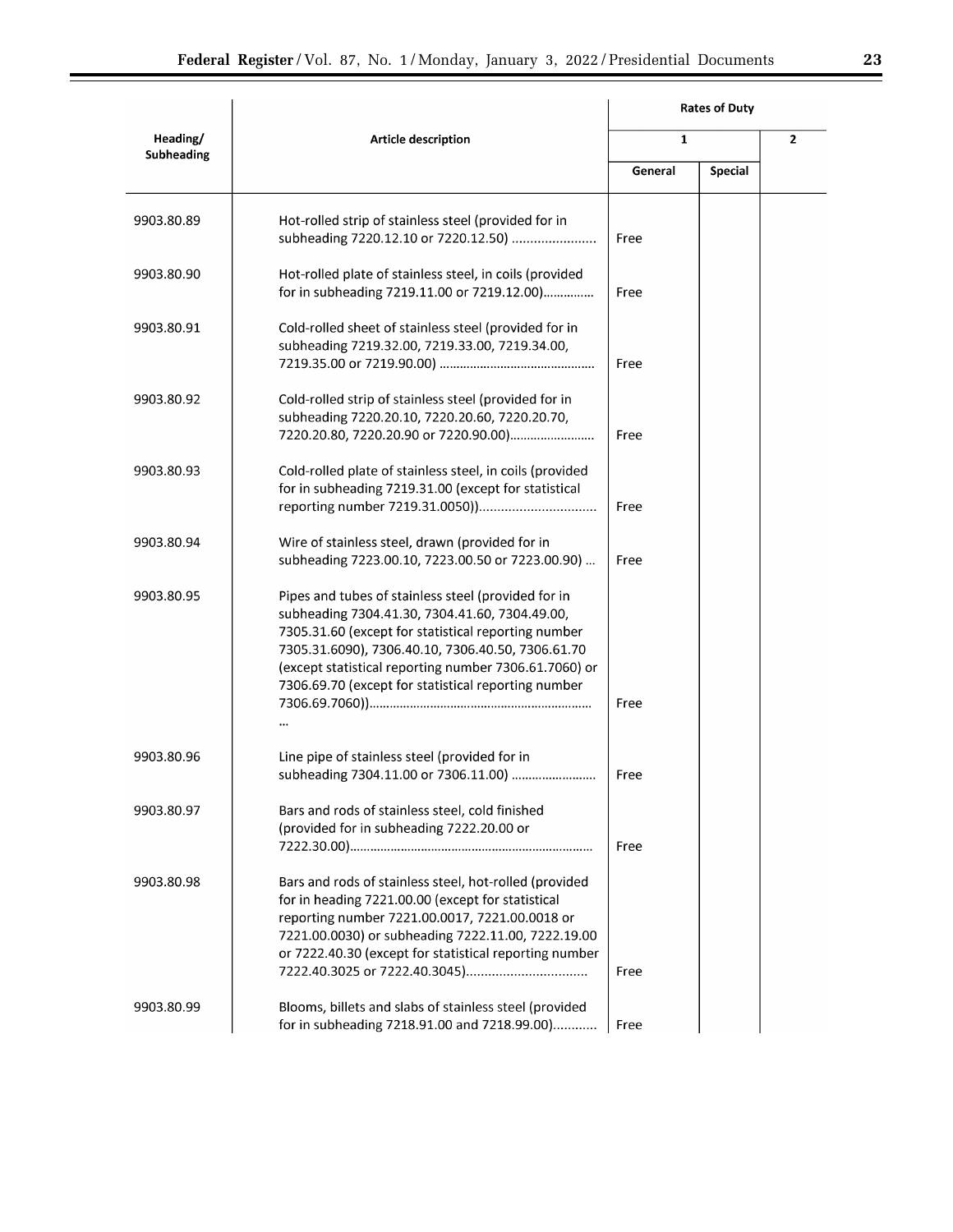|                        |                                                                                                                                                                                                                                                                                                                                   | <b>Rates of Duty</b> |                |                |
|------------------------|-----------------------------------------------------------------------------------------------------------------------------------------------------------------------------------------------------------------------------------------------------------------------------------------------------------------------------------|----------------------|----------------|----------------|
| Heading/<br>Subheading | Article description                                                                                                                                                                                                                                                                                                               | $\mathbf{1}$         |                | $\overline{2}$ |
|                        |                                                                                                                                                                                                                                                                                                                                   | General              | <b>Special</b> |                |
| 9903.80.89             | Hot-rolled strip of stainless steel (provided for in<br>subheading 7220.12.10 or 7220.12.50)                                                                                                                                                                                                                                      | Free                 |                |                |
| 9903.80.90             | Hot-rolled plate of stainless steel, in coils (provided<br>for in subheading 7219.11.00 or 7219.12.00)                                                                                                                                                                                                                            | Free                 |                |                |
| 9903.80.91             | Cold-rolled sheet of stainless steel (provided for in<br>subheading 7219.32.00, 7219.33.00, 7219.34.00,                                                                                                                                                                                                                           | Free                 |                |                |
| 9903.80.92             | Cold-rolled strip of stainless steel (provided for in<br>subheading 7220.20.10, 7220.20.60, 7220.20.70,<br>7220.20.80, 7220.20.90 or 7220.90.00)                                                                                                                                                                                  | Free                 |                |                |
| 9903.80.93             | Cold-rolled plate of stainless steel, in coils (provided<br>for in subheading 7219.31.00 (except for statistical                                                                                                                                                                                                                  | Free                 |                |                |
| 9903.80.94             | Wire of stainless steel, drawn (provided for in<br>subheading 7223.00.10, 7223.00.50 or 7223.00.90)                                                                                                                                                                                                                               | Free                 |                |                |
| 9903.80.95             | Pipes and tubes of stainless steel (provided for in<br>subheading 7304.41.30, 7304.41.60, 7304.49.00,<br>7305.31.60 (except for statistical reporting number<br>7305.31.6090), 7306.40.10, 7306.40.50, 7306.61.70<br>(except statistical reporting number 7306.61.7060) or<br>7306.69.70 (except for statistical reporting number | Free                 |                |                |
| 9903.80.96             | Line pipe of stainless steel (provided for in                                                                                                                                                                                                                                                                                     |                      |                |                |
| 9903.80.97             | subheading 7304.11.00 or 7306.11.00)<br>Bars and rods of stainless steel, cold finished<br>(provided for in subheading 7222.20.00 or                                                                                                                                                                                              | Free<br>Free         |                |                |
| 9903.80.98             | Bars and rods of stainless steel, hot-rolled (provided<br>for in heading 7221.00.00 (except for statistical<br>reporting number 7221.00.0017, 7221.00.0018 or<br>7221.00.0030) or subheading 7222.11.00, 7222.19.00<br>or 7222.40.30 (except for statistical reporting number                                                     | Free                 |                |                |
| 9903.80.99             | Blooms, billets and slabs of stainless steel (provided<br>for in subheading 7218.91.00 and 7218.99.00)                                                                                                                                                                                                                            | Free                 |                |                |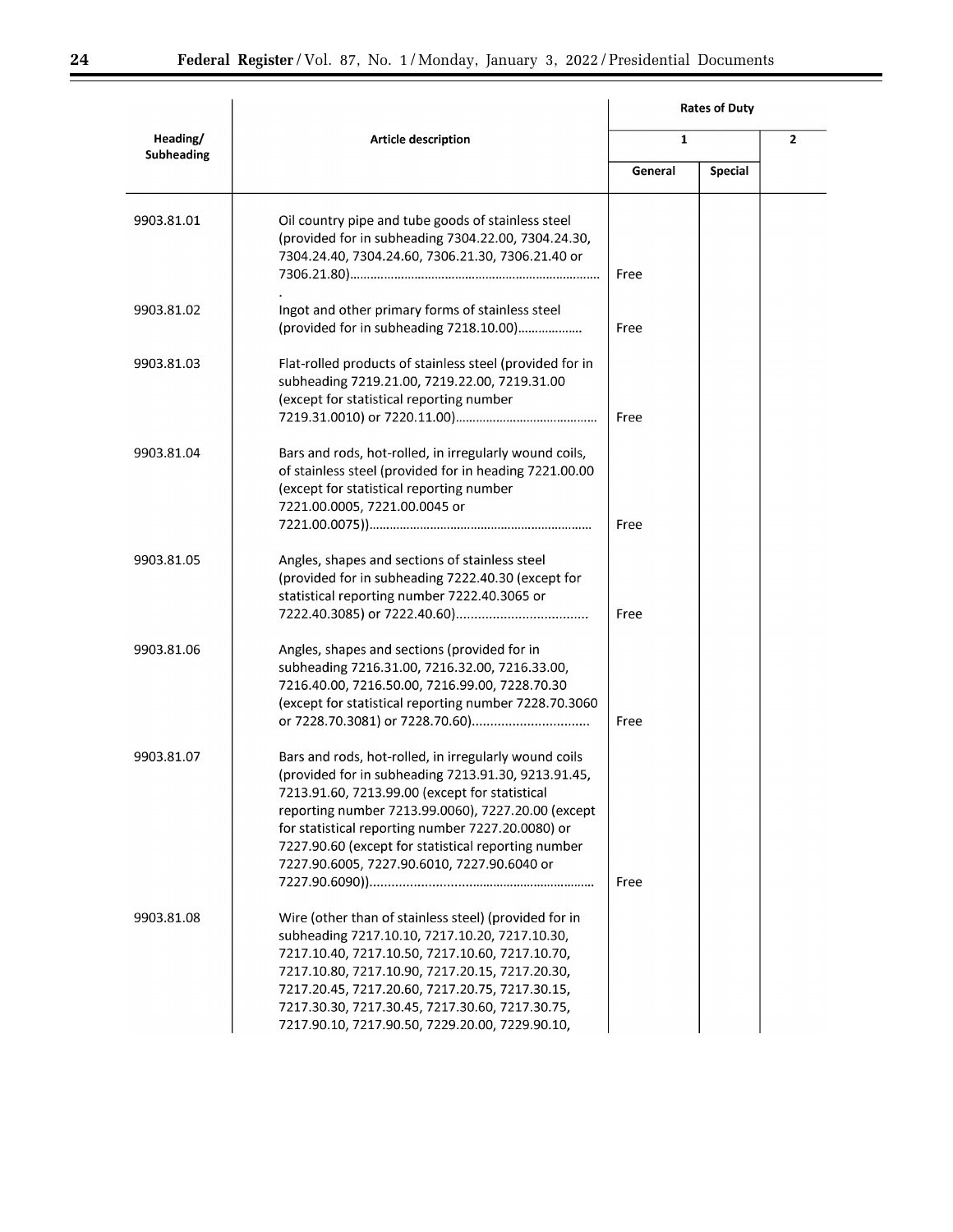▀

|                        |                                                                                                                                                                                                                                                                                                                                                                                 | <b>Rates of Duty</b> |                |                |
|------------------------|---------------------------------------------------------------------------------------------------------------------------------------------------------------------------------------------------------------------------------------------------------------------------------------------------------------------------------------------------------------------------------|----------------------|----------------|----------------|
| Heading/<br>Subheading | Article description                                                                                                                                                                                                                                                                                                                                                             | $\mathbf{1}$         |                | $\overline{2}$ |
|                        |                                                                                                                                                                                                                                                                                                                                                                                 | General              | <b>Special</b> |                |
| 9903.81.01             | Oil country pipe and tube goods of stainless steel<br>(provided for in subheading 7304.22.00, 7304.24.30,<br>7304.24.40, 7304.24.60, 7306.21.30, 7306.21.40 or                                                                                                                                                                                                                  | Free                 |                |                |
| 9903.81.02             | Ingot and other primary forms of stainless steel<br>(provided for in subheading 7218.10.00)                                                                                                                                                                                                                                                                                     | Free                 |                |                |
| 9903.81.03             | Flat-rolled products of stainless steel (provided for in<br>subheading 7219.21.00, 7219.22.00, 7219.31.00<br>(except for statistical reporting number                                                                                                                                                                                                                           | Free                 |                |                |
| 9903.81.04             | Bars and rods, hot-rolled, in irregularly wound coils,<br>of stainless steel (provided for in heading 7221.00.00<br>(except for statistical reporting number<br>7221.00.0005, 7221.00.0045 or                                                                                                                                                                                   | Free                 |                |                |
| 9903.81.05             | Angles, shapes and sections of stainless steel<br>(provided for in subheading 7222.40.30 (except for<br>statistical reporting number 7222.40.3065 or                                                                                                                                                                                                                            | Free                 |                |                |
| 9903.81.06             | Angles, shapes and sections (provided for in<br>subheading 7216.31.00, 7216.32.00, 7216.33.00,<br>7216.40.00, 7216.50.00, 7216.99.00, 7228.70.30<br>(except for statistical reporting number 7228.70.3060                                                                                                                                                                       | Free                 |                |                |
| 9903.81.07             | Bars and rods, hot-rolled, in irregularly wound coils<br>(provided for in subheading 7213.91.30, 9213.91.45,<br>7213.91.60, 7213.99.00 (except for statistical<br>reporting number 7213.99.0060), 7227.20.00 (except<br>for statistical reporting number 7227.20.0080) or<br>7227.90.60 (except for statistical reporting number<br>7227.90.6005, 7227.90.6010, 7227.90.6040 or | Free                 |                |                |
| 9903.81.08             | Wire (other than of stainless steel) (provided for in<br>subheading 7217.10.10, 7217.10.20, 7217.10.30,<br>7217.10.40, 7217.10.50, 7217.10.60, 7217.10.70,<br>7217.10.80, 7217.10.90, 7217.20.15, 7217.20.30,<br>7217.20.45, 7217.20.60, 7217.20.75, 7217.30.15,<br>7217.30.30, 7217.30.45, 7217.30.60, 7217.30.75,<br>7217.90.10, 7217.90.50, 7229.20.00, 7229.90.10,          |                      |                |                |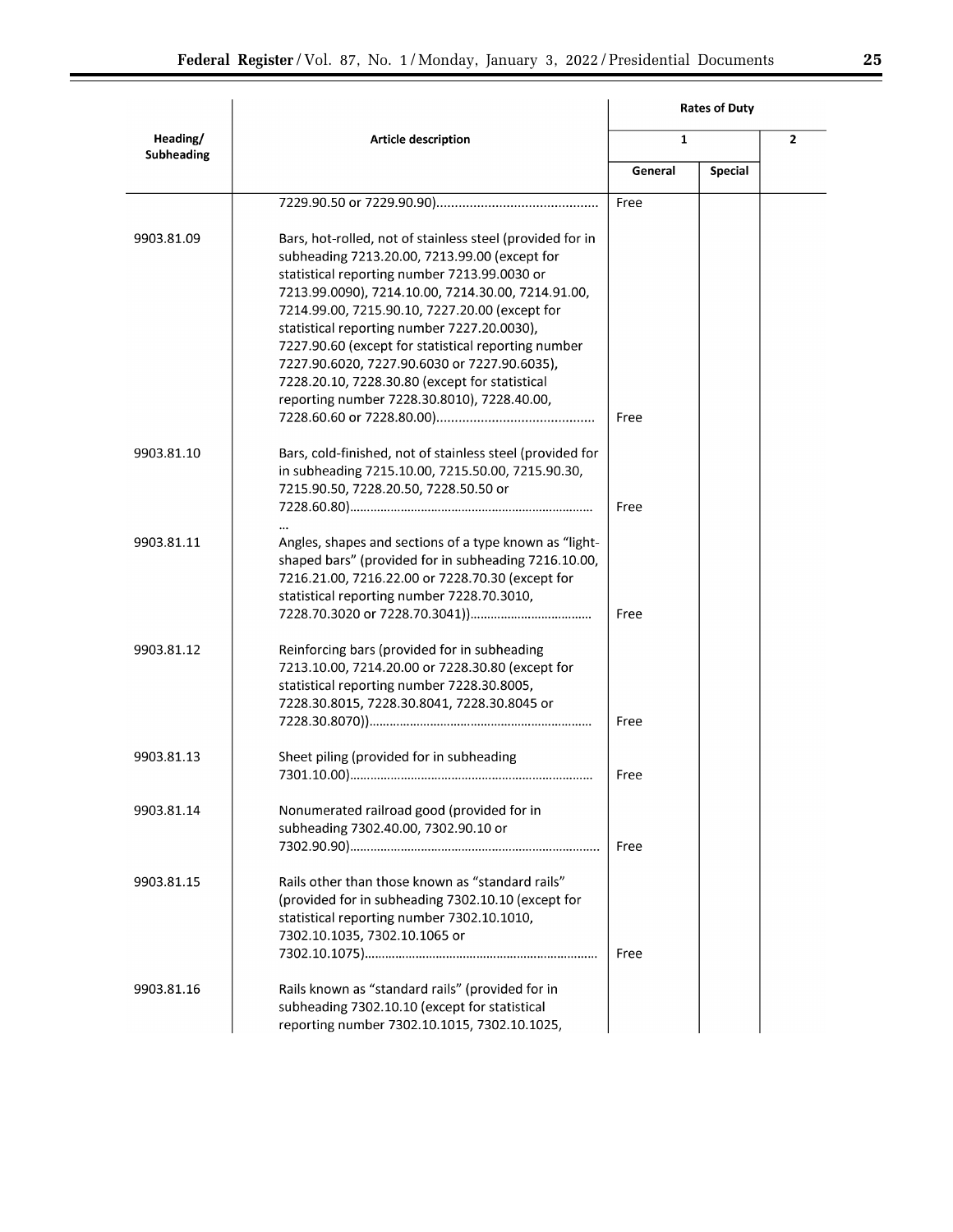| ı |  |
|---|--|
|   |  |
|   |  |

|                        |                                                                                                                                                                                                                                                                                                                                                                                                                                                                                                                           |              | <b>Rates of Duty</b> |                |
|------------------------|---------------------------------------------------------------------------------------------------------------------------------------------------------------------------------------------------------------------------------------------------------------------------------------------------------------------------------------------------------------------------------------------------------------------------------------------------------------------------------------------------------------------------|--------------|----------------------|----------------|
| Heading/<br>Subheading | Article description                                                                                                                                                                                                                                                                                                                                                                                                                                                                                                       | $\mathbf{1}$ |                      | $\overline{2}$ |
|                        |                                                                                                                                                                                                                                                                                                                                                                                                                                                                                                                           | General      | <b>Special</b>       |                |
|                        |                                                                                                                                                                                                                                                                                                                                                                                                                                                                                                                           | Free         |                      |                |
| 9903.81.09             | Bars, hot-rolled, not of stainless steel (provided for in<br>subheading 7213.20.00, 7213.99.00 (except for<br>statistical reporting number 7213.99.0030 or<br>7213.99.0090), 7214.10.00, 7214.30.00, 7214.91.00,<br>7214.99.00, 7215.90.10, 7227.20.00 (except for<br>statistical reporting number 7227.20.0030),<br>7227.90.60 (except for statistical reporting number<br>7227.90.6020, 7227.90.6030 or 7227.90.6035),<br>7228.20.10, 7228.30.80 (except for statistical<br>reporting number 7228.30.8010), 7228.40.00, | Free         |                      |                |
| 9903.81.10             | Bars, cold-finished, not of stainless steel (provided for<br>in subheading 7215.10.00, 7215.50.00, 7215.90.30,<br>7215.90.50, 7228.20.50, 7228.50.50 or                                                                                                                                                                                                                                                                                                                                                                   | Free         |                      |                |
| 9903.81.11             | Angles, shapes and sections of a type known as "light-<br>shaped bars" (provided for in subheading 7216.10.00,<br>7216.21.00, 7216.22.00 or 7228.70.30 (except for<br>statistical reporting number 7228.70.3010,                                                                                                                                                                                                                                                                                                          | Free         |                      |                |
| 9903.81.12             | Reinforcing bars (provided for in subheading<br>7213.10.00, 7214.20.00 or 7228.30.80 (except for<br>statistical reporting number 7228.30.8005,<br>7228.30.8015, 7228.30.8041, 7228.30.8045 or                                                                                                                                                                                                                                                                                                                             | Free         |                      |                |
| 9903.81.13             | Sheet piling (provided for in subheading                                                                                                                                                                                                                                                                                                                                                                                                                                                                                  | Free         |                      |                |
| 9903.81.14             | Nonumerated railroad good (provided for in<br>subheading 7302.40.00, 7302.90.10 or                                                                                                                                                                                                                                                                                                                                                                                                                                        | Free         |                      |                |
| 9903.81.15             | Rails other than those known as "standard rails"<br>(provided for in subheading 7302.10.10 (except for<br>statistical reporting number 7302.10.1010,<br>7302.10.1035, 7302.10.1065 or                                                                                                                                                                                                                                                                                                                                     | Free         |                      |                |
| 9903.81.16             | Rails known as "standard rails" (provided for in<br>subheading 7302.10.10 (except for statistical<br>reporting number 7302.10.1015, 7302.10.1025,                                                                                                                                                                                                                                                                                                                                                                         |              |                      |                |